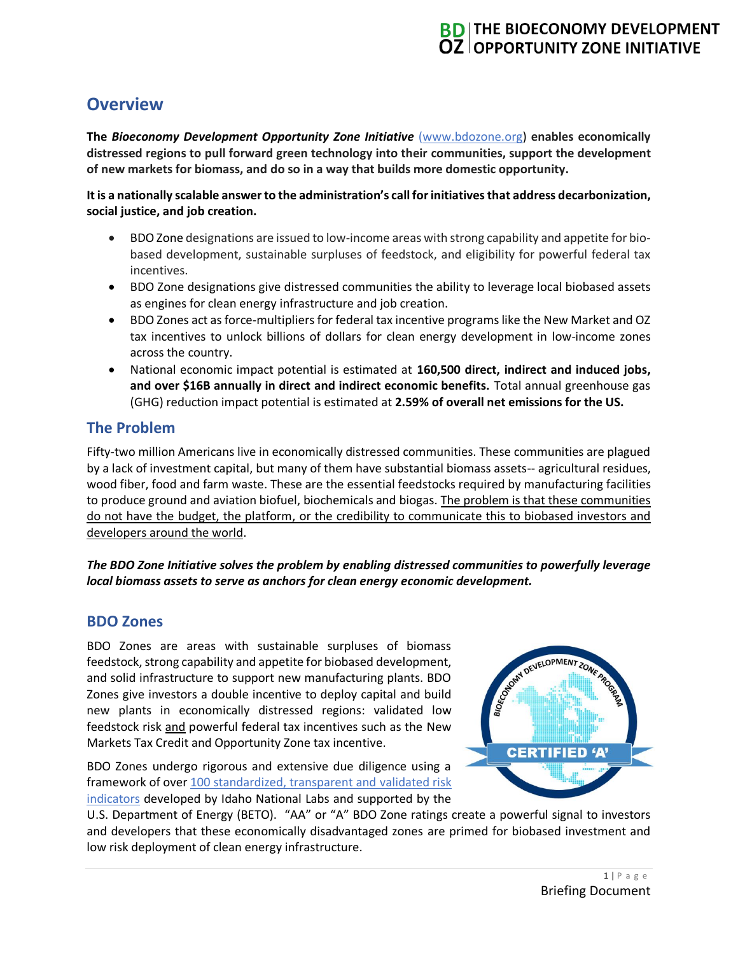# **BD THE BIOECONOMY DEVELOPMENT OZ OPPORTUNITY ZONE INITIATIVE**

# **Overview**

**The** *Bioeconomy Development Opportunity Zone Initiative* [\(www.bdozone.org\)](http://www.bdozone.org/) **enables economically distressed regions to pull forward green technology into their communities, support the development of new markets for biomass, and do so in a way that builds more domestic opportunity.**

**It is a nationally scalable answer to the administration's call for initiatives that address decarbonization, social justice, and job creation.**

- BDO Zone designations are issued to low-income areas with strong capability and appetite for biobased development, sustainable surpluses of feedstock, and eligibility for powerful federal tax incentives.
- BDO Zone designations give distressed communities the ability to leverage local biobased assets as engines for clean energy infrastructure and job creation.
- BDO Zones act asforce-multipliers for federal tax incentive programs like the New Market and OZ tax incentives to unlock billions of dollars for clean energy development in low-income zones across the country.
- National economic impact potential is estimated at **160,500 direct, indirect and induced jobs, and over \$16B annually in direct and indirect economic benefits.** Total annual greenhouse gas (GHG) reduction impact potential is estimated at **2.59% of overall net emissions for the US.**

## **The Problem**

Fifty-two million Americans live in economically distressed communities. These communities are plagued by a lack of investment capital, but many of them have substantial biomass assets-- agricultural residues, wood fiber, food and farm waste. These are the essential feedstocks required by manufacturing facilities to produce ground and aviation biofuel, biochemicals and biogas. The problem is that these communities do not have the budget, the platform, or the credibility to communicate this to biobased investors and developers around the world.

#### *The BDO Zone Initiative solves the problem by enabling distressed communities to powerfully leverage local biomass assets to serve as anchors for clean energy economic development.*

## **BDO Zones**

BDO Zones are areas with sustainable surpluses of biomass feedstock, strong capability and appetite for biobased development, and solid infrastructure to support new manufacturing plants. BDO Zones give investors a double incentive to deploy capital and build new plants in economically distressed regions: validated low feedstock risk and powerful federal tax incentives such as the New Markets Tax Credit and Opportunity Zone tax incentive.

BDO Zones undergo rigorous and extensive due diligence using a framework of over 100 standardized, transparent and validated risk [indicators](https://ecostrat.com/standards/) developed by Idaho National Labs and supported by the



U.S. Department of Energy (BETO). "AA" or "A" BDO Zone ratings create a powerful signal to investors and developers that these economically disadvantaged zones are primed for biobased investment and low risk deployment of clean energy infrastructure.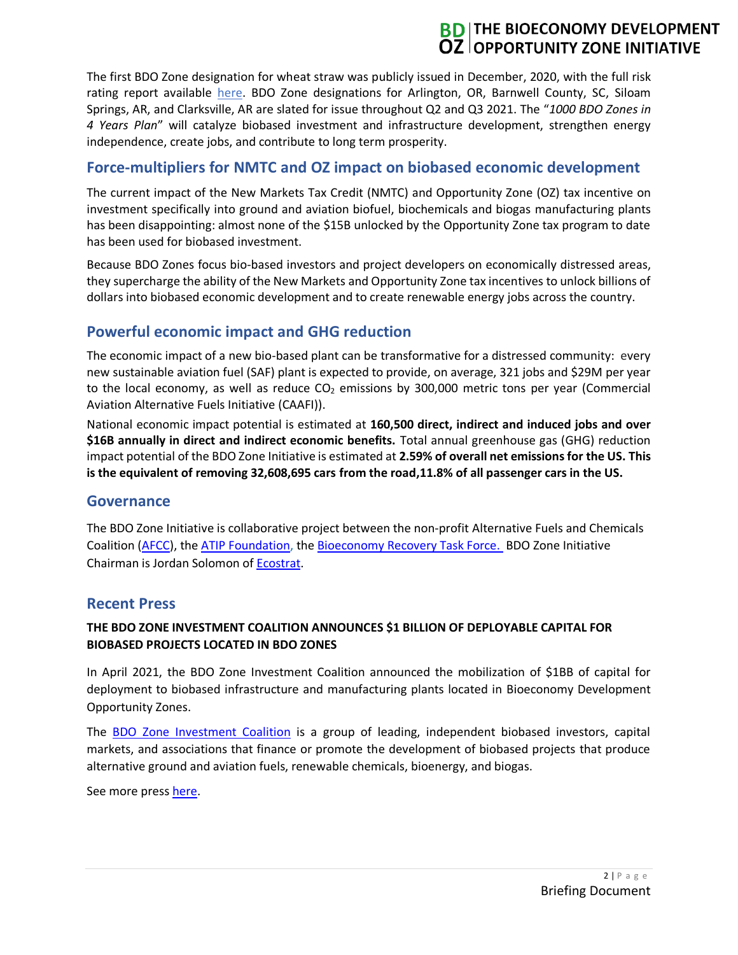# **BD** THE BIOECONOMY DEVELOPMENT **OZ OPPORTUNITY ZONE INITIATIVE**

The first BDO Zone designation for wheat straw was publicly issued in December, 2020, with the full risk rating report available [here.](https://bdozone.org/can/applicants-and-awards/) BDO Zone designations for Arlington, OR, Barnwell County, SC, Siloam Springs, AR, and Clarksville, AR are slated for issue throughout Q2 and Q3 2021. The "*1000 BDO Zones in 4 Years Plan*" will catalyze biobased investment and infrastructure development, strengthen energy independence, create jobs, and contribute to long term prosperity.

# **Force-multipliers for NMTC and OZ impact on biobased economic development**

The current impact of the New Markets Tax Credit (NMTC) and Opportunity Zone (OZ) tax incentive on investment specifically into ground and aviation biofuel, biochemicals and biogas manufacturing plants has been disappointing: almost none of the \$15B unlocked by the Opportunity Zone tax program to date has been used for biobased investment.

Because BDO Zones focus bio-based investors and project developers on economically distressed areas, they supercharge the ability of the New Markets and Opportunity Zone tax incentives to unlock billions of dollars into biobased economic development and to create renewable energy jobs across the country.

## **Powerful economic impact and GHG reduction**

The economic impact of a new bio-based plant can be transformative for a distressed community: every new sustainable aviation fuel (SAF) plant is expected to provide, on average, 321 jobs and \$29M per year to the local economy, as well as reduce  $CO<sub>2</sub>$  emissions by 300,000 metric tons per year (Commercial Aviation Alternative Fuels Initiative (CAAFI)).

National economic impact potential is estimated at **160,500 direct, indirect and induced jobs and over \$16B annually in direct and indirect economic benefits.** Total annual greenhouse gas (GHG) reduction impact potential of the BDO Zone Initiative is estimated at **2.59% of overall net emissions for the US. This is the equivalent of removing 32,608,695 cars from the road,11.8% of all passenger cars in the US.** 

#### **Governance**

The BDO Zone Initiative is collaborative project between the non-profit Alternative Fuels and Chemicals Coalition [\(AFCC\)](https://www.altfuelchem.org/), th[e ATIP Foundation,](http://atipfoundation.com/) the [Bioeconomy Recovery Task Force.](https://bdozone.org/us/support/) BDO Zone Initiative Chairman is Jordan Solomon of [Ecostrat.](https://ecostrat.com/standards/)

## **Recent Press**

#### **THE BDO ZONE INVESTMENT COALITION ANNOUNCES \$1 BILLION OF DEPLOYABLE CAPITAL FOR BIOBASED PROJECTS LOCATED IN BDO ZONES**

In April 2021, the BDO Zone Investment Coalition announced the mobilization of \$1BB of capital for deployment to biobased infrastructure and manufacturing plants located in Bioeconomy Development Opportunity Zones.

The [BDO Zone Investment Coalition](https://bdozone.org/us/support/) is a group of leading, independent biobased investors, capital markets, and associations that finance or promote the development of biobased projects that produce alternative ground and aviation fuels, renewable chemicals, bioenergy, and biogas.

See more press [here.](https://bdozone.org/us/news/)